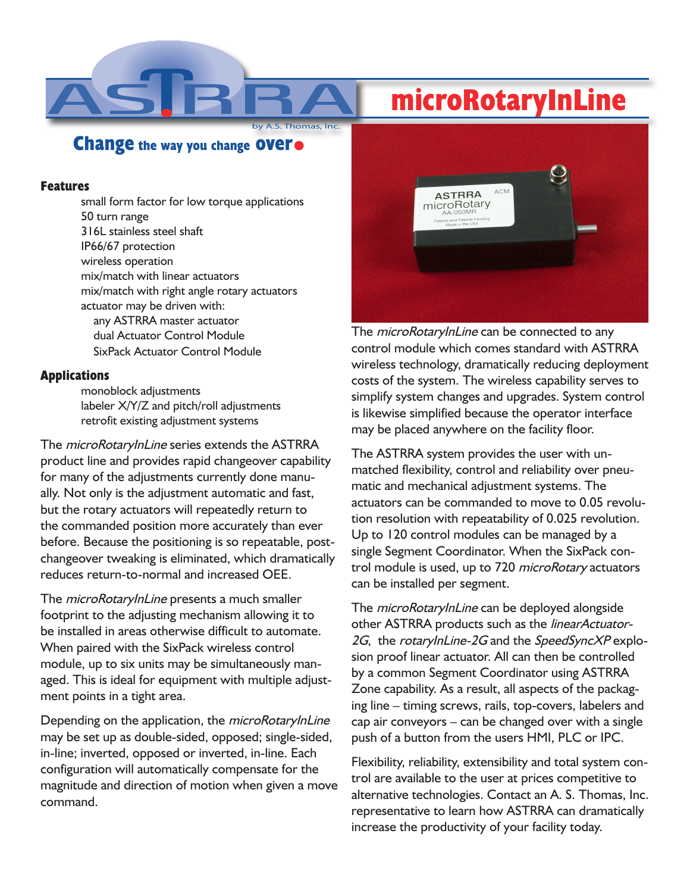## **microRotaryInLine**

**Thomas, Inc. Change the way you change over.**

## **Features**

small form factor for low torque applications 50 turn range 316L stainless steel shaft IP66/67 protection wireless operation mix/match with linear actuators mix/match with right angle rotary actuators actuator may be driven with: any ASTRRA master actuator dual Actuator Control Module SixPack Actuator Control Module

## **Applications**

monoblock adjustments labeler X/Y/Z and pitch/roll adjustments retrofit existing adjustment systems

The *microRotaryInLine* series extends the ASTRRA product line and provides rapid changeover capability for many of the adjustments currently done manually. Not only is the adjustment automatic and fast, but the rotary actuators will repeatedly return to the commanded position more accurately than ever before. Because the positioning is so repeatable, postchangeover tweaking is eliminated, which dramatically reduces return-to-normal and increased OEE.

The *microRotaryInLine* presents a much smaller footprint to the adjusting mechanism allowing it to be installed in areas otherwise difficult to automate. When paired with the SixPack wireless control module, up to six units may be simultaneously managed. This is ideal for equipment with multiple adjustment points in a tight area.

Depending on the application, the *microRotaryInLine* may be set up as double-sided, opposed; single-sided, in-line; inverted, opposed or inverted, in-line. Each configuration will automatically compensate for the magnitude and direction of motion when given a move command.



The *microRotaryInLine* can be connected to any control module which comes standard with ASTRRA wireless technology, dramatically reducing deployment costs of the system. The wireless capability serves to simplify system changes and upgrades. System control is likewise simplified because the operator interface may be placed anywhere on the facility floor.

The ASTRRA system provides the user with unmatched flexibility, control and reliability over pneumatic and mechanical adjustment systems. The actuators can be commanded to move to 0.05 revolution resolution with repeatability of 0.025 revolution. Up to 120 control modules can be managed by a single Segment Coordinator. When the SixPack control module is used, up to 720 *microRotary* actuators can be installed per segment.

The *microRotaryInLine* can be deployed alongside other ASTRRA products such as the linearActuator-2G, the rotaryInLine-2G and the SpeedSyncXP explosion proof linear actuator. All can then be controlled by a common Segment Coordinator using ASTRRA Zone capability. As a result, all aspects of the packaging line – timing screws, rails, top-covers, labelers and cap air conveyors – can be changed over with a single push of a button from the users HMI, PLC or IPC.

Flexibility, reliability, extensibility and total system control are available to the user at prices competitive to alternative technologies. Contact an A. S. Thomas, Inc. representative to learn how ASTRRA can dramatically increase the productivity of your facility today.